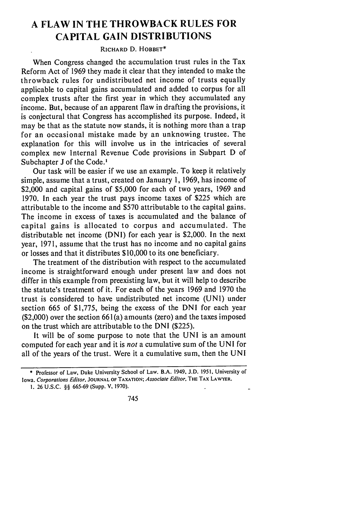## **A FLAW IN THE THROWBACK RULES FOR CAPITAL GAIN DISTRIBUTIONS**

## **RICHARD** D. **HOBBET\***

When Congress changed the accumulation trust rules in the Tax Reform Act of 1969 they made it clear that they intended to make the throwback rules for undistributed net income of trusts equally applicable to capital gains accumulated and added to corpus for all complex trusts after the first year in which they accumulated any income. But, because of an apparent flaw in drafting the provisions, it is conjectural that Congress has accomplished its purpose. Indeed, it may be that as the statute now stands, it is nothing more than a trap for an occasional mistake made by an unknowing trustee. The explanation for this will involve us in the intricacies of several complex new Internal Revenue Code provisions in Subpart D of Subchapter **J** of the Code.'

Our task will be easier if we use an example. To keep it relatively simple, assume that a trust, created on January 1, 1969, has income of \$2,000 and capital gains of \$5,000 for each of two years, 1969 and 1970. In each year the trust pays income taxes of \$225 which are attributable to the income and \$570 attributable to the capital gains. The income in excess of taxes is accumulated and the balance of capital gains is allocated to corpus and accumulated. The distributable net income (DNI) for each year is \$2,000. In the next year, 1971, assume that the trust has no income and no capital gains or losses and that it distributes \$10,000 to its one beneficiary.

The treatment of the distribution with respect to the accumulated income is straightforward enough under present law and does not differ in this example from preexisting law, but it will help to describe the statute's treatment of it. For each of the years 1969 and 1970 the trust is considered to have undistributed net income (UNI) under section 665 of \$1,775, being the excess of the DNI for each year  $(2,000)$  over the section 661(a) amounts (zero) and the taxes imposed on the trust which are attributable to the DNI (\$225).

It will be of some purpose to note that the UNI is an amount computed for each year and it is *not* a cumulative sum of the UNI for all of the years of the trust. Were it a cumulative sum, then the UNI

745

<sup>\*</sup> Professor **of** Law, Duke University School of Law. B.A. 1949, J.D. 1951, University of Iowa. *Corporations Editor.* **JOURNAL OF TAXATION;** *Associate Editor.* **THE** TAX LAWYER.

I. 26 U.S.C. §§ 665-69 (Supp. V, 1970).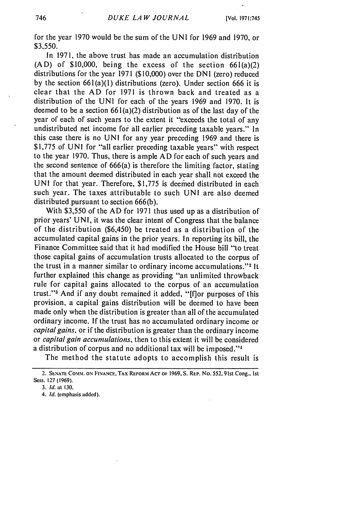for the year 1970 would be the sum of the UNI for 1969 and 1970, or \$3,550.

In 1971, the above trust has made an accumulation distribution  $(AD)$  of \$10,000, being the excess of the section 661(a)(2) distributions for the year 1971 (\$10,000) over the DNI (zero) reduced by the section 661(a)(1) distributions (zero). Under section 666 it is clear that the AD for 1971 is thrown back and treated as a distribution of the UNI for each of the years 1969 and 1970. It is deemed to be a section  $661(a)(2)$  distribution as of the last day of the year of each of such years to the extent it "exceeds the total of any undistributed net income for all earlier preceding taxable years." In this case there is no UNI for any year preceding 1969 and there is \$1,775 of UNI for "all earlier preceding taxable years" with respect to the year 1970. Thus, there is ample AD for each of such years and the second sentence of 666(a) is therefore the limiting factor, stating that the amount deemed distributed in each year shall not exceed the UNI for that year. Therefore,  $$1,775$  is deemed distributed in each such year. The taxes attributable to such UNI are also deemed distributed pursuant to section 666(b).

With \$3,550 of the AD for 1971 thus used up as a distribution of prior years' UNI, it was the clear intent of Congress that the balance of the distribution (\$6,450) be treated as a distribution of the accumulated capital gains in the prior years. In reporting its bill, the Finance Committee said that it had modified the House bill "to treat those capital gains of accumulation trusts allocated to the corpus of the trust in a manner similar to ordinary income accumulations."<sup>2</sup> It further explained this change as providing "an unlimited throwback rule for capital gains allocated to the corpus of an accumulation trust."<sup>3</sup> And if any doubt remained it added, "[f] or purposes of this provision, a capital gains distribution will be deemed to have been made only when the distribution is greater than all of the accumulated ordinary income. If the trust has no accumulated ordinary income or *capital gains,* or if the distribution is greater than the ordinary income or *capital gain accumulations,* then to this extent it will be considered a distribution of corpus and no additional tax will be imposed."<sup>4</sup>

The method the statute adopts to accomplish this result is

**<sup>2.</sup> SENATE COMM. ON FINANCE.TAX REFORM ACT** OF **1969. S. REP.** No. 552.91st Cong., Ist Sess. **127 (1969).**

*<sup>3.</sup> Id.* at **130.**

<sup>4.</sup> *Id.* (emphasis added).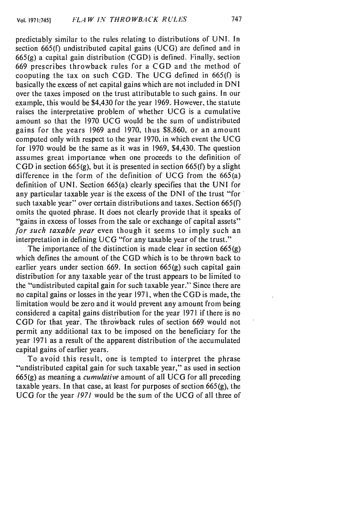predictably similar to the rules relating to distributions of UNI. In section 665(f) undistributed capital gains (UCG) are defined and in 665(g) a capital gain distribution (CGD) is defined. Finally, section 669 prescribes throwback rules for a CGD and the method of cooputing the tax on such CGD. The UCG defined in 665(f) is basically the excess of net capital gains which are not included in DNI over the taxes imposed on the trust attributable to such gains. In our example, this would be \$4,430 for the year 1969. However, the statute raises the interpretative problem of whether UCG is a cumulative amount so that the 1970 UCG would be the sum of undistributed gains for the years 1969 and 1970, thus \$8,860, or an amount computed only with respect to the year 1970, in which event the **UCG** for 1970 would be the same as it was in 1969, \$4,430. The question assumes great importance when one proceeds to the definition of **CGD** in section 665(g), but it is presented in section 665(f) by a slight difference in the form of the definition of UCG from the 665(a) definition of UNI. Section 665(a) clearly specifies that the UNI for any particular taxable year is the excess of the DNI of the trust "for such taxable year" over certain distributions and taxes. Section 665(f) omits the quoted phrase. It does not clearly provide that it speaks of "gains in excess of losses from the sale or exchange of capital assets" for such taxable year even though it seems to imply such an interpretation in defining UCG "for any taxable year of the trust."

The importance of the distinction is made clear in section  $665(g)$ which defines the amount of the **CGD** which is to be thrown back to earlier years under section 669. In section 665(g) such capital gaindistribution for any taxable year of the trust appears to be limited to the "undistributed capital gain for such taxable year." Since there are no capital gains or losses in the year 1971, when the **CGD** is made, the limitation would be zero and it would prevent any amount from being considered a capital gains distribution for the year 1971 if there is no CGD for that year. The throwback rules of section 669 would not permit any additional tax to be imposed on the beneficiary for the year 1971 as a result of the apparent distribution of the accumulated capital gains of earlier years.

To avoid this result, one is tempted to interpret the phrase "undistributed capital gain for such taxable year," as used in section 665(g) as meaning a *cumulative* amount of all **UCG** for all preceding taxable years. In that case, at least for purposes of section 665(g), the **UCG** for the year *1971* would be the sum of the UCG of all three of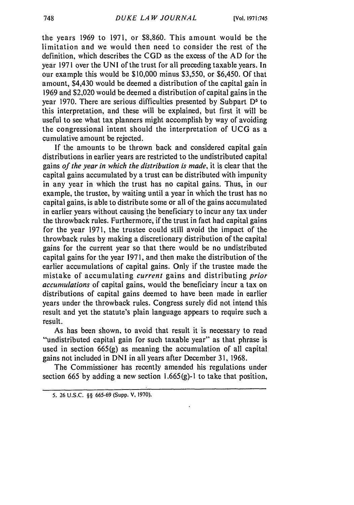the years 1969 to 1971, or \$8,860. This amount would be the limitation and we would then need to consider the rest of the definition, which describes the CGD as the excess of the AD for the year 1971 over the UNI of the trust for all preceding taxable years. In our example this would be \$10,000 minus \$3,550, or \$6,450. Of that amount, \$4,430 would be deemed a distribution of the capital gain in 1969 and \$2,020 would be deemed a distribution of capital gains in the year 1970. There are serious difficulties presented by Subpart D<sup>5</sup> to this interpretation, and these will be explained, but first it will be useful to see what tax planners might accomplish by way of avoiding the congressional intent should the interpretation of UCG as a cumulative amount be rejected.

If the amounts to be thrown back and considered capital gain distributions in earlier years are restricted to the undistributed capital gains *of the year in which the distribution is made,* it is clear that the capital gains accumulated by a trust can be distributed with impunity in any year in which the trust has no capital gains. Thus, in our example, the trustee, by waiting until a year in which the trust has no capital gains, is able to distribute some or all of the gains accumulated in earlier years without causing the beneficiary to incur any tax under the throwback rules. Furthermore, if the trust in fact had capital gains for the year 1971, the trustee could still avoid the impact of the throwback rules by making a discretionary distribution of the capital gains for the current year so that there would be no undistributed capital gains for the year 1971, and then make the distribution of the earlier accumulations of capital gains. Only if the trustee made the mistake of accumulating *current* gains and distributing *prior accumulations* of capital gains, would the beneficiary incur a tax on distributions of capital gains deemed to have been made in earlier years under the throwback rules. Congress surely did not intend this result and yet the statute's plain language appears to require such a result.

As has been shown, to avoid that result it is necessary to read "undistributed capital gain for such taxable year" as that phrase is used in section 665(g) as meaning the accumulation of all capital gains not included in DNI in all years after December 31, 1968.

The Commissioner has recently amended his regulations under section 665 by adding a new section 1.665(g)-I to take that position,

**<sup>5. 26</sup> U.S.C.** §§ **665-69** (Supp. **V. 1970).**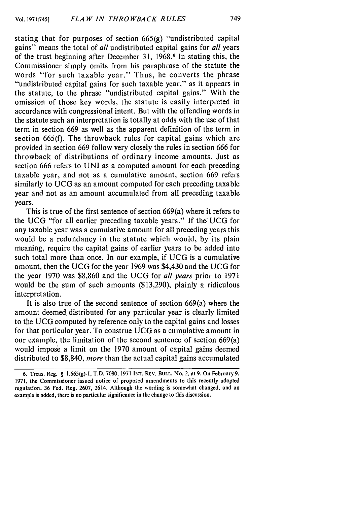stating that for purposes of section 665(g) "undistributed capital gains" means the total of *all* undistributed capital gains for *all* years of the trust beginning after December 31, 1968.6 In stating this, the Commissioner simply omits from his paraphrase of the statute the words "for such taxable year." Thus, he converts the phrase "undistributed capital gains for such taxable year," as it appears in the statute, to the phrase "undistributed capital gains." With the omission of those key words, the statute is easily interpreted in accordance with congressional intent. But with the offending words in the statute such an interpretation is totally at odds with the use of that term in section 669 as well as the apparent definition of the term in section 665(f). The throwback rules for capital gains which are provided in section 669 follow very closely the rules in section 666 for throwback of distributions of ordinary income amounts. Just as section 666 refers to UNI as a computed amount for each preceding taxable year, and not as a cumulative amount, section 669 refers similarly to UCG as an amount computed for each preceding taxable year and not as an amount accumulated from all preceding taxable years.

This is true of the first sentence of section 669(a) where it refers to the UCG "for all earlier preceding taxable years." If the UCG for any taxable year was a cumulative amount for all preceding years this would be a redundancy in the statute which would, by its plain meaning, require the capital gains of earlier years to be added into such total more than once. In our example, if UCG is a cumulative amount, then the UCG for the year 1969 was \$4,430 and the UCG for the year 1970 was \$8,860 and the UCG for *all years* prior to 1971 would be the sum of such amounts (\$13,290), plainly a ridiculous interpretation.

It is also true of the second sentence of section 669(a) where the amount deemed. distributed for any particular year is clearly limited to the **UCG** computed by reference only to the capital gains and losses for that particular year. To construe UCG as a cumulative amount in our example, the limitation of the second sentence of section 669(a) would impose a limit on the 1970 amount of capital gains deemed distributed to \$8,840, *more* than the actual capital gains accumulated

**<sup>6.</sup>** Treas. Reg. § 1.665(g)-1, **T.D.** 7080, **1971 INT.** REV. **BULL.** No. 2, at 9. On February 9, 1971, the Commissioner issued notice of proposed amendments to this recently adopted regulation. 36 Fed. Reg. 2607, 2614. Although the wording is somewhat changed, and an example is added, there is no particular significance in the change to this discussion.